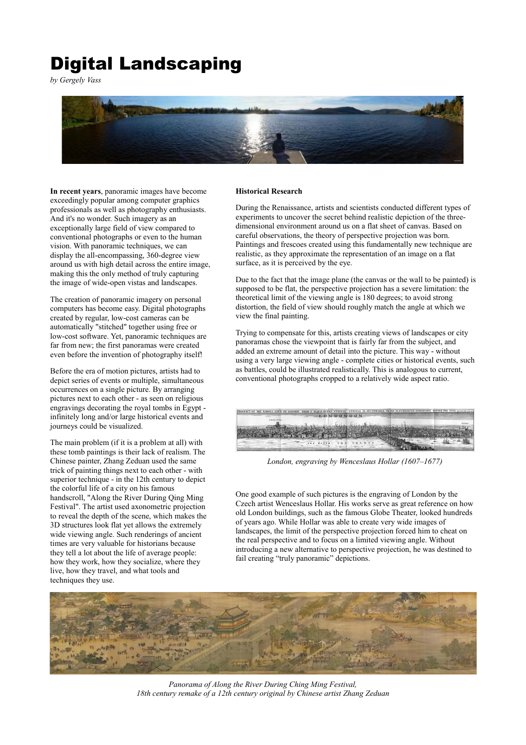## Digital Landscaping

*by Gergely Vass*



**In recent years**, panoramic images have become exceedingly popular among computer graphics professionals as well as photography enthusiasts. And it's no wonder. Such imagery as an exceptionally large field of view compared to conventional photographs or even to the human vision. With panoramic techniques, we can display the all-encompassing, 360-degree view around us with high detail across the entire image, making this the only method of truly capturing the image of wide-open vistas and landscapes.

The creation of panoramic imagery on personal computers has become easy. Digital photographs created by regular, low-cost cameras can be automatically "stitched" together using free or low-cost software. Yet, panoramic techniques are far from new; the first panoramas were created even before the invention of photography itself!

Before the era of motion pictures, artists had to depict series of events or multiple, simultaneous occurrences on a single picture. By arranging pictures next to each other - as seen on religious engravings decorating the royal tombs in Egypt infinitely long and/or large historical events and journeys could be visualized.

The main problem (if it is a problem at all) with these tomb paintings is their lack of realism. The Chinese painter, Zhang Zeduan used the same trick of painting things next to each other - with superior technique - in the 12th century to depict the colorful life of a city on his famous handscroll, "Along the River During Qing Ming Festival". The artist used axonometric projection to reveal the depth of the scene, which makes the 3D structures look flat yet allows the extremely wide viewing angle. Such renderings of ancient times are very valuable for historians because they tell a lot about the life of average people: how they work, how they socialize, where they live, how they travel, and what tools and techniques they use.

## **Historical Research**

During the Renaissance, artists and scientists conducted different types of experiments to uncover the secret behind realistic depiction of the threedimensional environment around us on a flat sheet of canvas. Based on careful observations, the theory of perspective projection was born. Paintings and frescoes created using this fundamentally new technique are realistic, as they approximate the representation of an image on a flat surface, as it is perceived by the eye.

Due to the fact that the image plane (the canvas or the wall to be painted) is supposed to be flat, the perspective projection has a severe limitation: the theoretical limit of the viewing angle is 180 degrees; to avoid strong distortion, the field of view should roughly match the angle at which we view the final painting.

Trying to compensate for this, artists creating views of landscapes or city panoramas chose the viewpoint that is fairly far from the subject, and added an extreme amount of detail into the picture. This way - without using a very large viewing angle - complete cities or historical events, such as battles, could be illustrated realistically. This is analogous to current, conventional photographs cropped to a relatively wide aspect ratio.



*London, engraving by Wenceslaus Hollar (1607–1677)*

One good example of such pictures is the engraving of London by the Czech artist Wenceslaus Hollar. His works serve as great reference on how old London buildings, such as the famous Globe Theater, looked hundreds of years ago. While Hollar was able to create very wide images of landscapes, the limit of the perspective projection forced him to cheat on the real perspective and to focus on a limited viewing angle. Without introducing a new alternative to perspective projection, he was destined to fail creating "truly panoramic" depictions.



*Panorama of Along the River During Ching Ming Festival, 18th century remake of a 12th century original by Chinese artist Zhang Zeduan*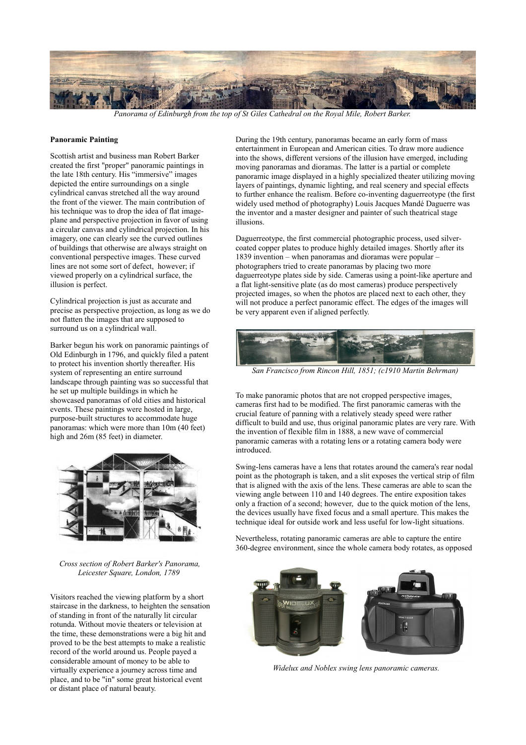

*Panorama of Edinburgh from the top of St Giles Cathedral on the Royal Mile, Robert Barker.*

## **Panoramic Painting**

Scottish artist and business man Robert Barker created the first "proper" panoramic paintings in the late 18th century. His "immersive" images depicted the entire surroundings on a single cylindrical canvas stretched all the way around the front of the viewer. The main contribution of his technique was to drop the idea of flat imageplane and perspective projection in favor of using a circular canvas and cylindrical projection. In his imagery, one can clearly see the curved outlines of buildings that otherwise are always straight on conventional perspective images. These curved lines are not some sort of defect, however; if viewed properly on a cylindrical surface, the illusion is perfect.

Cylindrical projection is just as accurate and precise as perspective projection, as long as we do not flatten the images that are supposed to surround us on a cylindrical wall.

Barker begun his work on panoramic paintings of Old Edinburgh in 1796, and quickly filed a patent to protect his invention shortly thereafter. His system of representing an entire surround landscape through painting was so successful that he set up multiple buildings in which he showcased panoramas of old cities and historical events. These paintings were hosted in large, purpose-built structures to accommodate huge panoramas: which were more than 10m (40 feet) high and 26m (85 feet) in diameter.



*Cross section of Robert Barker's Panorama, Leicester Square, London, 1789* 

Visitors reached the viewing platform by a short staircase in the darkness, to heighten the sensation of standing in front of the naturally lit circular rotunda. Without movie theaters or television at the time, these demonstrations were a big hit and proved to be the best attempts to make a realistic record of the world around us. People payed a considerable amount of money to be able to virtually experience a journey across time and place, and to be "in" some great historical event or distant place of natural beauty.

During the 19th century, panoramas became an early form of mass entertainment in European and American cities. To draw more audience into the shows, different versions of the illusion have emerged, including moving panoramas and dioramas. The latter is a partial or complete panoramic image displayed in a highly specialized theater utilizing moving layers of paintings, dynamic lighting, and real scenery and special effects to further enhance the realism. Before co-inventing daguerreotype (the first widely used method of photography) Louis Jacques Mandé Daguerre was the inventor and a master designer and painter of such theatrical stage illusions.

Daguerreotype, the first commercial photographic process, used silvercoated copper plates to produce highly detailed images. Shortly after its 1839 invention – when panoramas and dioramas were popular – photographers tried to create panoramas by placing two more daguerreotype plates side by side. Cameras using a point-like aperture and a flat light-sensitive plate (as do most cameras) produce perspectively projected images, so when the photos are placed next to each other, they will not produce a perfect panoramic effect. The edges of the images will be very apparent even if aligned perfectly.



*San Francisco from Rincon Hill, 1851; (c1910 Martin Behrman)*

To make panoramic photos that are not cropped perspective images, cameras first had to be modified. The first panoramic cameras with the crucial feature of panning with a relatively steady speed were rather difficult to build and use, thus original panoramic plates are very rare. With the invention of flexible film in 1888, a new wave of commercial panoramic cameras with a rotating lens or a rotating camera body were introduced.

Swing-lens cameras have a lens that rotates around the camera's rear nodal point as the photograph is taken, and a slit exposes the vertical strip of film that is aligned with the axis of the lens. These cameras are able to scan the viewing angle between 110 and 140 degrees. The entire exposition takes only a fraction of a second; however, due to the quick motion of the lens, the devices usually have fixed focus and a small aperture. This makes the technique ideal for outside work and less useful for low-light situations.

Nevertheless, rotating panoramic cameras are able to capture the entire 360-degree environment, since the whole camera body rotates, as opposed



*Widelux and Noblex swing lens panoramic cameras.*